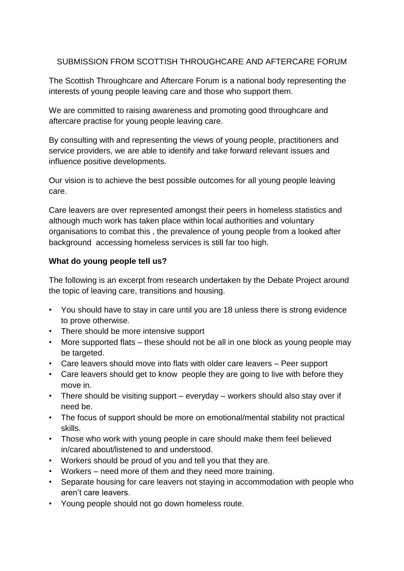# SUBMISSION FROM SCOTTISH THROUGHCARE AND AFTERCARE FORUM

The Scottish Throughcare and Aftercare Forum is a national body representing the interests of young people leaving care and those who support them.

We are committed to raising awareness and promoting good throughcare and aftercare practise for young people leaving care.

By consulting with and representing the views of young people, practitioners and service providers, we are able to identify and take forward relevant issues and influence positive developments.

Our vision is to achieve the best possible outcomes for all young people leaving care.

Care leavers are over represented amongst their peers in homeless statistics and although much work has taken place within local authorities and voluntary organisations to combat this , the prevalence of young people from a looked after background accessing homeless services is still far too high.

# **What do young people tell us?**

The following is an excerpt from research undertaken by the Debate Project around the topic of leaving care, transitions and housing.

- You should have to stay in care until you are 18 unless there is strong evidence to prove otherwise.
- There should be more intensive support
- More supported flats these should not be all in one block as young people may be targeted.
- Care leavers should move into flats with older care leavers Peer support
- Care leavers should get to know people they are going to live with before they move in.
- There should be visiting support everyday workers should also stay over if need be.
- The focus of support should be more on emotional/mental stability not practical skills.
- Those who work with young people in care should make them feel believed in/cared about/listened to and understood.
- Workers should be proud of you and tell you that they are.
- Workers need more of them and they need more training.
- Separate housing for care leavers not staying in accommodation with people who aren't care leavers.
- Young people should not go down homeless route.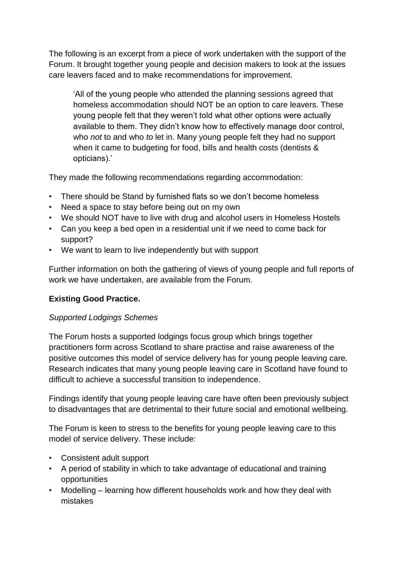The following is an excerpt from a piece of work undertaken with the support of the Forum. It brought together young people and decision makers to look at the issues care leavers faced and to make recommendations for improvement.

'All of the young people who attended the planning sessions agreed that homeless accommodation should NOT be an option to care leavers. These young people felt that they weren't told what other options were actually available to them. They didn't know how to effectively manage door control, who *not* to and who *to* let in. Many young people felt they had no support when it came to budgeting for food, bills and health costs (dentists & opticians).'

They made the following recommendations regarding accommodation:

- There should be Stand by furnished flats so we don't become homeless
- Need a space to stay before being out on my own
- We should NOT have to live with drug and alcohol users in Homeless Hostels
- Can you keep a bed open in a residential unit if we need to come back for support?
- We want to learn to live independently but with support

Further information on both the gathering of views of young people and full reports of work we have undertaken, are available from the Forum.

# **Existing Good Practice.**

# *Supported Lodgings Schemes*

The Forum hosts a supported lodgings focus group which brings together practitioners form across Scotland to share practise and raise awareness of the positive outcomes this model of service delivery has for young people leaving care. Research indicates that many young people leaving care in Scotland have found to difficult to achieve a successful transition to independence.

Findings identify that young people leaving care have often been previously subject to disadvantages that are detrimental to their future social and emotional wellbeing.

The Forum is keen to stress to the benefits for young people leaving care to this model of service delivery. These include:

- Consistent adult support
- A period of stability in which to take advantage of educational and training opportunities
- Modelling learning how different households work and how they deal with mistakes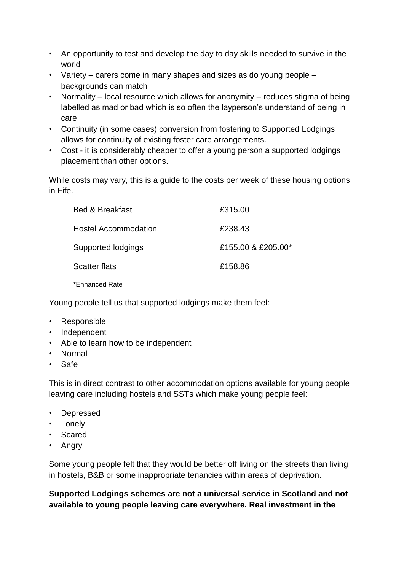- An opportunity to test and develop the day to day skills needed to survive in the world
- Variety carers come in many shapes and sizes as do young people backgrounds can match
- Normality local resource which allows for anonymity reduces stigma of being labelled as mad or bad which is so often the layperson's understand of being in care
- Continuity (in some cases) conversion from fostering to Supported Lodgings allows for continuity of existing foster care arrangements.
- Cost it is considerably cheaper to offer a young person a supported lodgings placement than other options.

While costs may vary, this is a guide to the costs per week of these housing options in Fife.

| <b>Bed &amp; Breakfast</b>  | £315.00            |
|-----------------------------|--------------------|
| <b>Hostel Accommodation</b> | £238.43            |
| Supported lodgings          | £155.00 & £205.00* |
| <b>Scatter flats</b>        | £158.86            |
| *Enhanced Rate              |                    |

Young people tell us that supported lodgings make them feel:

- Responsible
- Independent
- Able to learn how to be independent
- Normal
- Safe

This is in direct contrast to other accommodation options available for young people leaving care including hostels and SSTs which make young people feel:

- Depressed
- Lonely
- Scared
- Angry

Some young people felt that they would be better off living on the streets than living in hostels, B&B or some inappropriate tenancies within areas of deprivation.

**Supported Lodgings schemes are not a universal service in Scotland and not available to young people leaving care everywhere. Real investment in the**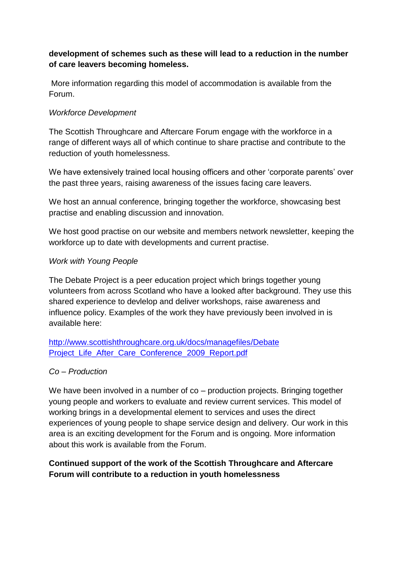# **development of schemes such as these will lead to a reduction in the number of care leavers becoming homeless.**

More information regarding this model of accommodation is available from the Forum.

### *Workforce Development*

The Scottish Throughcare and Aftercare Forum engage with the workforce in a range of different ways all of which continue to share practise and contribute to the reduction of youth homelessness.

We have extensively trained local housing officers and other 'corporate parents' over the past three years, raising awareness of the issues facing care leavers.

We host an annual conference, bringing together the workforce, showcasing best practise and enabling discussion and innovation.

We host good practise on our website and members network newsletter, keeping the workforce up to date with developments and current practise.

#### *Work with Young People*

The Debate Project is a peer education project which brings together young volunteers from across Scotland who have a looked after background. They use this shared experience to devlelop and deliver workshops, raise awareness and influence policy. Examples of the work they have previously been involved in is available here:

[http://www.scottishthroughcare.org.uk/docs/managefiles/Debate](http://www.scottishthroughcare.org.uk/docs/managefiles/Debate%20Project_Life_After_Care_Conference_2009_Report.pdf)  Project Life After Care Conference 2009 Report.pdf

# *Co – Production*

We have been involved in a number of co – production projects. Bringing together young people and workers to evaluate and review current services. This model of working brings in a developmental element to services and uses the direct experiences of young people to shape service design and delivery. Our work in this area is an exciting development for the Forum and is ongoing. More information about this work is available from the Forum.

# **Continued support of the work of the Scottish Throughcare and Aftercare Forum will contribute to a reduction in youth homelessness**